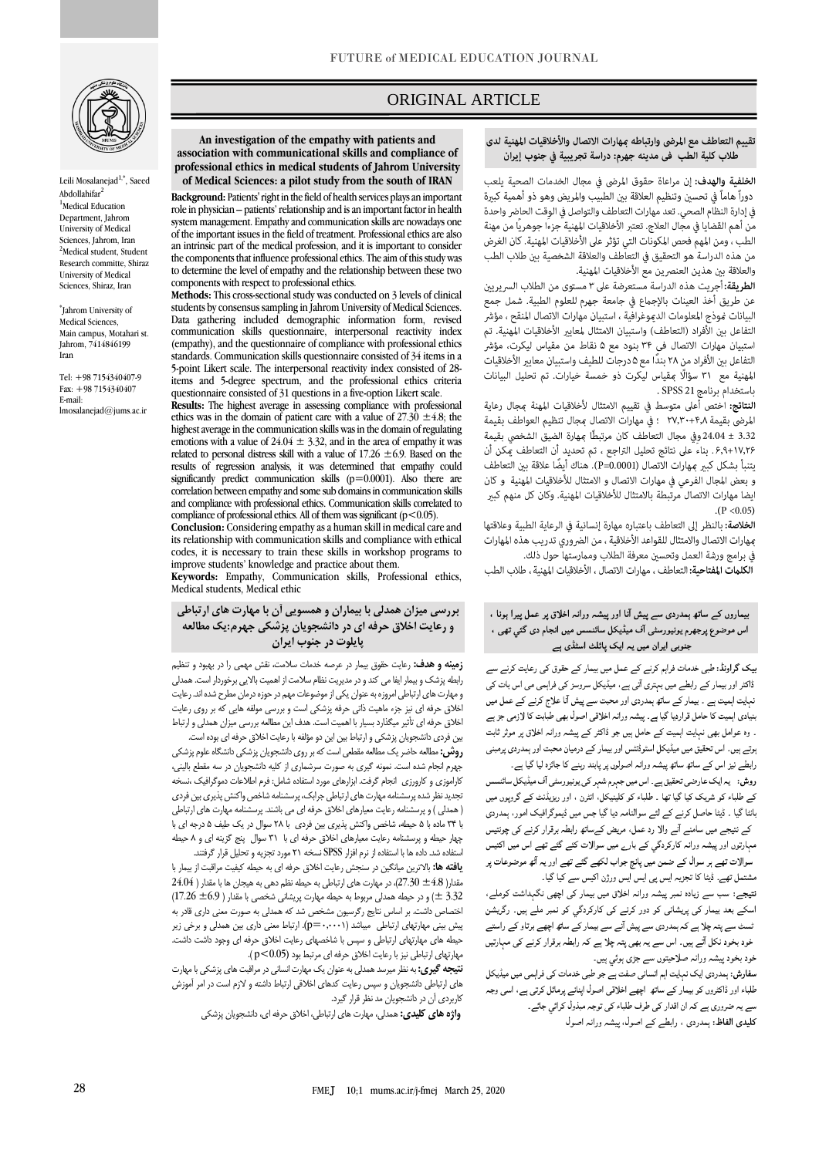# ORIGINAL ARTICLE

## تقييم التعاطف مع المرضى وارتباطه عهارات الاتصال والأخلاقيات المهنية لدى طلاب كلية الطب في مدينه جهرم: دراسة تجريبية في جنوب إيران

ص

**of Medical Sciences: a pilot study from the south of IRAN** دوراً هاماً في تحسين وتنظيم العلاقة بين الطبيب والمريض وهو ذو أهمية كبيرة في إدارة النظام الصحي. تعد مهارات التعاطف والتواصل في الوقت الحاضر واحدة من أهم القضايا في مجال العلاج. تعتبر الأخلاقيات المهنية جزءاً جوهرياً من مهنة الطب ، ومن المهم فحص المكونات التي تؤثر على الأخلاقيات المهنية. كان الغرض من هذه الدراسة هو التحقيق في التعاطف والعلاقة الشخصية بين طلاب الطب والعلاقة بين هذين العنصرين مع الأخلاقيات المهنية.

> الطريقة: أجريت هذه الدراسة مستعرضة على ٣ مستوى من الطلاب السريريين عن طريق أخذ العينات بالإجماع في جامعة جهرم للعلوم الطبية. شمل جمع البيانات مُوذج المعلومات الدهوغرافية ، استبيان مهارات الاتصال المنقح ، مؤشر التفاعل بين الأفراد (التعاطف) واستبيان الامتثال لمعايير الأخلاقيات المهنية. تم استبيان مهارات الاتصال في ٣۴ بنود مع ۵ نقاط من مقياس ليكرت، مؤشر التفاعل بين الأفراد من ٢٨ بندًا مع ۵ درجات للطيف واستبيان معايير الأخلاقيات المهنية مع ٣١ سؤالًا مقياس ليكرت ذو خمسة خيارات. تم تحليل البيانات باستخدام برنامج SPSS 21 .

> النتائج: اختص أعلى متوسط في تقييم الامتثال لأخلاقيات المهنة مجال رعاية المرضى بقيمة ٢٧,٣٠+٢٠, ؛ في مهارات الاتصال مجال تنظيم العواطف بقيمة 3.32 ± 24.04 وفي مجال التعاطف كان مرتبطًا مِهارة الضيق الشخصى بقيمة ۶٫۹+۱۷٫۲۶ . بناء على نتائج تحليل التراجع ، تم تحديد أن التعاطف عكن أن يتنبأ بشكل كبير مهارات الاتصال (P=0.0001). هناك أيضًا علاقة بين التعاطف و بعض المجال الفرعى في مهارات الاتصال و الامتثال للأخلاقيات المهنية و كان ايضا مهارات الاتصال مرتبطة بالامتثال للأخلاقيات المهنية. وكان كل منهم كبير  $(P < 0.05)$

> الخلاصة: بالنظر إلى التعاطف باعتباره مهارة إنسانية في الرعاية الطبية وعلاقتها عهارات الاتصال والامتثال للقواعد الأخلاقية ، من الضروري تدريب هذه المهارات في برامج ورشة العمل وتحسبن معرفة الطلاب وممارستها حول ذلك.

> **الكلمات المفتاحية:** التعاطف ، مهارات الاتصال ، الأخلاقيات المهنية ، طلاب الطب

## بیماروں کے ساتھ ہمدردی سے پیش آنا اور پیشہ ورانہ اخلاق پر عمل پیرا ہونا ، اس موضوع پرجهرم یونیورسٹی آف میڈیکل سائنسس میں انجام دی گئي تھی ، جنوبی ایران میں یہ ایک پائلٹ اسٹڈی ہے

بیک گراونڈ: طبی خدمات فراہم کرنے کے عمل میں بیمار کے حقوق کی رعایت کرنے سے ڈاکٹر اور بیمار کے رابطے میں بہتری آتی ہے، میڈیکل سروسز کی فراہمی می اس بات کی نہایت اہمیت ہے ۔ بیمار کے ساتھ ہمدردی اور محبت سے پیش آنا علاج کرنے کے عمل میں بنیادی اہمیت کا حامل قراردیا گیا ہے۔ پیشہ ورانہ اخلاقی اصول بھی طبابت کا لازمی جز ہے ۔ وہ عوامل بھی نہایت اہمیت کے حامل ہیں جو ڈاکٹر کے پیشہ ورانہ اخلاق پر موثر ثابت ہوتے ہیں۔ اس تحقیق میں میڈیکل اسٹوڈنٹس اور بیمار کے درمیان محبت اور ہمدردی پرمبنی رابطے نیز اس کے ساتھ ساتھ پیشہ ورانہ اصولوں پر پابند رہنے کا جائزہ لیا گیا ہے۔

روش:<br>روش: یہ ایک عارضی تحقیق ہے۔ اس میں جہرم شہر کی یونیورسٹی آف میڈیکل سائنسس کے طلباء کو شریک کیا گیا تھا ۔ طلباء کو کلینیکل، انٹرن ، اور ریزیڈنٹ کے گروپوں میں بانٹا گیا ۔ ڈیٹا حاصل کرنے کے لئے سوالنامہ دیا گیا جس میں ڈیموگرافیک امور، ہمدردی کے نتیجے میں سامنے آنے والا رد عمل، مریض کےساتھ رابطہ برقرار کرنے کی چونتیس مہارتوں اور پیشہ ورانہ کارکردگی کے بارے میں سوالات کئے گئے تھے اس میں اکتیس سوالات تھے ہر سوال کے ضمن میں پانچ جواب لکھے گئے تھے اور یہ آٹھ موضوعات پر مشتمل تھے۔ ڈیٹا کا تجزیہ ایس پی ایس ایس ورژن اکیس سے کیا گیا۔

نتیجے: سب سے زیادہ نمبر پیشہ ورانہ اخلاق میں بیمار کی اچھی نگہداشت کوملے، اسکے بعد بیمار کی پریشانی کو دور کرنے کی کارکردگی کو نمبر ملے ہیں۔ رگریشن ٹسٹ سے پتہ چلا ہے کہ ہمدردی سے پیش آنے سے بیمار کے ساتھ اچھے برتاو کے راستے خود بخود نکل آتے ہیں۔ اس سے یہ بھی پتہ چلا ہے کہ رابطہ برقرار کرنے کی مہارتیں خود بخود پيشہ ورانہ صلاحيتوں سے جڑى ہوئي ہيں۔

۔<br>سفارش: ہمدردی ایک نہایت اہم انسان*ی ص*فت ہے جو طبی خدمات کی فراہمی میں میڈیکل طلباء اور ڈاکٹروں کو بیمار کے ساتھ اچھے اخلاقی اصول اپنانے پرمائل کرتی ہے، اسی وجہ سے یہ ضروری ہے کہ ان اقدار کی طرف طلباء کی توجہ مبذول کرائی جائے۔ کلیدی الفاظ: ہمدردی ، رابطے کے اصول، پیشہ ورانہ اصول

**An investigation of the empathy with patients and association with communicational skills and compliance of professional ethics in medical students of Jahrom University** 

**Background:** Patients' right in the field of health services plays an important role in physician – patients' relationship and is an important factor in health system management. Empathy and communication skills are nowadays one of the important issues in the field of treatment. Professional ethics are also an intrinsic part of the medical profession, and it is important to consider the components that influence professional ethics. The aim of this study was to determine the level of empathy and the relationship between these two components with respect to professional ethics.

**Methods:** This cross-sectional study was conducted on 3 levels of clinical students by consensus sampling in Jahrom University of Medical Sciences. Data gathering included demographic information form, revised communication skills questionnaire, interpersonal reactivity index (empathy), and the questionnaire of compliance with professional ethics standards. Communication skills questionnaire consisted of 34 items in a 5-point Likert scale. The interpersonal reactivity index consisted of 28 items and 5-degree spectrum, and the professional ethics criteria questionnaire consisted of 31 questions in a five-option Likert scale.

**Results:** The highest average in assessing compliance with professional ethics was in the domain of patient care with a value of  $27.30 \pm 4.8$ ; the highest average in the communication skills was in the domain of regulating emotions with a value of  $24.04 \pm 3.32$ , and in the area of empathy it was related to personal distress skill with a value of  $17.26 \pm 6.9$ . Based on the results of regression analysis, it was determined that empathy could significantly predict communication skills  $(p=0.0001)$ . Also there are correlation between empathy and some sub domains in communication skills and compliance with professional ethics. Communication skills correlated to compliance of professional ethics. All of them was significant ( $p < 0.05$ ).

**Conclusion:** Considering empathy as a human skill in medical care and its relationship with communication skills and compliance with ethical codes, it is necessary to train these skills in workshop programs to improve students' knowledge and practice about them.

**Keywords:** Empathy, Communication skills, Professional ethics, Medical students, Medical ethic

**بررسی میزان همدلی با بیماران و همسویی آن با مهارت های ارتباطی و رعایت اخالق حرفه ای در دانشجویان پزشکی جهرم:یک مطالعه پایلوت در جنوب ایران**

**زمینه و هدف:** رعايت حقوق بيمار در عرصه خدمات سالمت، نقش مهمي را در بهبود و تنظيم رابطه پزشک و بيمار ايفا مي کند و در مديريت نظام سالمت از اهميت بااليي برخوردار است. همدلي و مهارت های ارتباطی امروزه به عنوان يکي از موضوعات مهم در حوزه درمان مطرح شده اند. رعايت اخالق حرفه ای نيز جزء ماهيت ذاتي حرفه پزشکي است و بررسي مولفه هايي که بر روی رعايت اخالق حرفه ای تأثير ميگذارد بسيار با اهميت است. هدف اين مطالعه بررسي ميزان همدلي و ارتباط بين فردی دانشجويان پزشکي و ارتباط بين اين دو مؤلفه با رعايت اخالق حرفه ای بوده است.

**روش:**مطالعه حاضر يک مطالعه مقطعي است که بر روی دانشجويان پزشکي دانشگاه علوم پزشکي جهرم انجام شده است. نمونه گيری به صورت سرشماری از کليه دانشجويان در سه مقطع باليني، کاراموزی و کارورزی انجام گرفت. ابزارهای مورد استفاده شامل: فرم اطالعات دموگرافيک ،نسخه تجديد نظر شده پرسشنامه مهارت های ارتباطي جرابک، پرسشنامه شاخص واکنش پذيری بين فردی ) همدلي ( و پرسشنامه رعايت معيارهای اخالق حرفه ای مي باشند. پرسشنامه مهارت های ارتباطي با 34 ماده با 5 حيطه، شاخص واکنش پذيری بين فردی با 28 سوال در يک طيف 5 درجه ای با چهار حيطه و پرسشنامه رعايت معيارهای اخالق حرفه ای با 31 سوال پنج گزينه ای و 8 حيطه استفاده شد. داده ها با استفاده از نرم افزار SPSS نسخه 21 مورد تجزيه و تحليل قرار گرفتند.

**یافته ها:** باالترين ميانگين در سنجش رعايت اخالق حرفه ای به حيطه کيفيت مراقبت از بيمار با  $24.04$  )، در مهارت های ارتباطي به حيطه نظم دهي به هيجان ها با مقدار (  $24.04$  $(17.26 \pm 6.9)$  و در حيطه همدلي مربوط به حيطه مهارت پريشاني شخصي با مقدار  $( \pm 6.9)$ اختصاص داشت. بر اساس نتايج رگرسيون مشخص شد که همدلي به صورت معني داری قادر به پيش بيني مهارتهای ارتباطي ميباشد )0.0001=p(. ارتباط معني داری بين همدلي و برخي زير حيطه های مهارتهای ارتباطي و سپس با شاخصهای رعايت اخالق حرفه ای وجود داشت داشت. مهارتهای ارتباطي نيز با رعايت اخالق حرفه ای مرتبط بود (0.05>p) .

**نتیجه گیری:** به نظر ميرسد همدلي به عنوان يک مهارت انساني در مراقبت های پزشکي با مهارت های ارتباطي دانشجويان و سپس رعايت کدهای اخالقي ارتباط داشته و الزم است در امر آموزش کاربردی آن در دانشجويان مد نظر قرار گيرد.

**واژه های کلیدی:**همدلي، مهارت های ارتباطي، اخالق حرفه ای، دانشجويان پزشکي





Leili Mosalanejad $^{1,\ast},$  Saeed Abdollahifar<sup>2</sup> <sup>1</sup>Medical Education Department, Jahrom University of Medical Sciences, Jahrom, Iran <sup>2</sup>Medical student, Student Research committe, Shiraz University of Medical Sciences, Shiraz, Iran

Jahrom University of \* Medical Sciences, Main campus, Motahari st. Jahrom, 7414846199 Iran

Tel: +98 [7154340407-9](tel:+98) Fax: +98 7154340407 E-mail: lmosalanejad@jums.ac.ir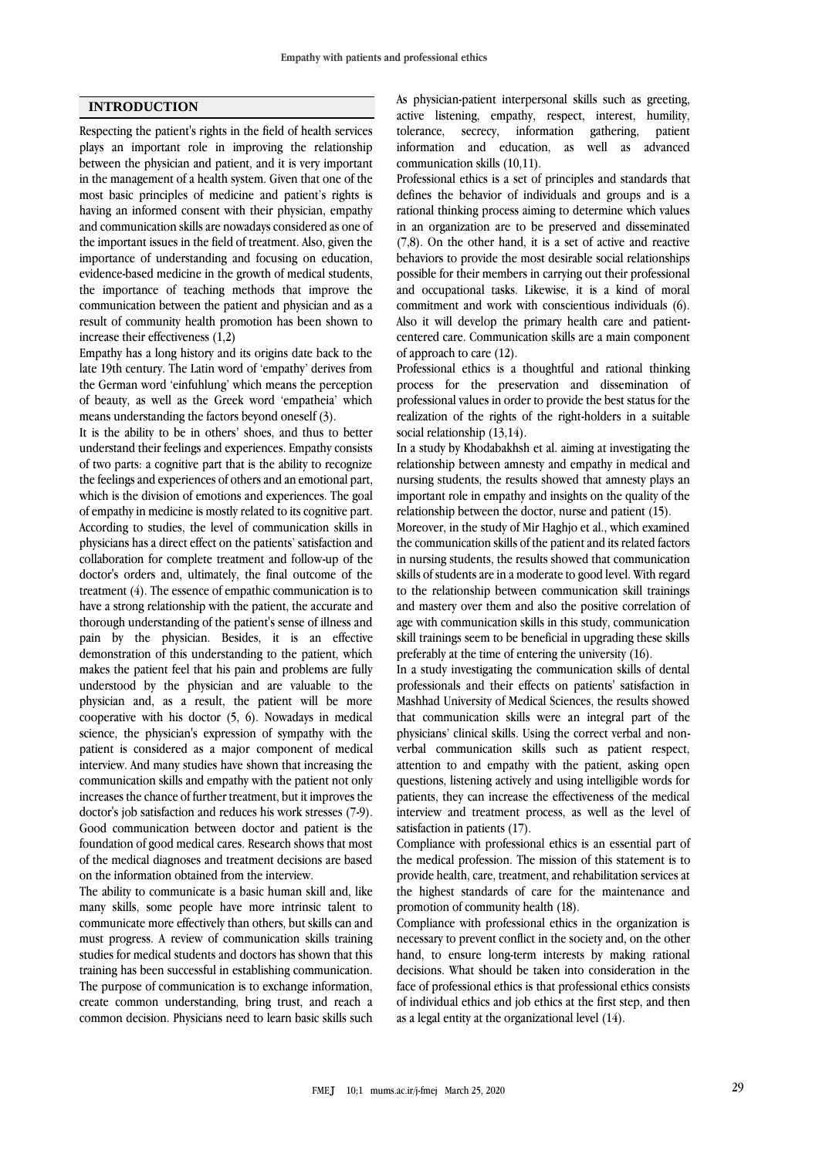## **INTRODUCTION**

Respecting the patient's rights in the field of health services plays an important role in improving the relationship between the physician and patient, and it is very important in the management of a health system. Given that one of the most basic principles of medicine and patient's rights is having an informed consent with their physician, empathy and communication skills are nowadays considered as one of the important issues in the field of treatment. Also, given the importance of understanding and focusing on education, evidence-based medicine in the growth of medical students, the importance of teaching methods that improve the communication between the patient and physician and as a result of community health promotion has been shown to increase their effectiveness (1,2)

Empathy has a long history and its origins date back to the late 19th century. The Latin word of 'empathy' derives from the German word 'einfuhlung' which means the perception of beauty, as well as the Greek word 'empatheia' which means understanding the factors beyond oneself (3).

It is the ability to be in others' shoes, and thus to better understand their feelings and experiences. Empathy consists of two parts: a cognitive part that is the ability to recognize the feelings and experiences of others and an emotional part, which is the division of emotions and experiences. The goal of empathy in medicine is mostly related to its cognitive part. According to studies, the level of communication skills in physicians has a direct effect on the patients' satisfaction and collaboration for complete treatment and follow-up of the doctor's orders and, ultimately, the final outcome of the treatment (4). The essence of empathic communication is to have a strong relationship with the patient, the accurate and thorough understanding of the patient's sense of illness and pain by the physician. Besides, it is an effective demonstration of this understanding to the patient, which makes the patient feel that his pain and problems are fully understood by the physician and are valuable to the physician and, as a result, the patient will be more cooperative with his doctor (5, 6). Nowadays in medical science, the physician's expression of sympathy with the patient is considered as a major component of medical interview. And many studies have shown that increasing the communication skills and empathy with the patient not only increases the chance of further treatment, but it improves the doctor's job satisfaction and reduces his work stresses (7-9). Good communication between doctor and patient is the foundation of good medical cares. Research shows that most of the medical diagnoses and treatment decisions are based on the information obtained from the interview.

The ability to communicate is a basic human skill and, like many skills, some people have more intrinsic talent to communicate more effectively than others, but skills can and must progress. A review of communication skills training studies for medical students and doctors has shown that this training has been successful in establishing communication. The purpose of communication is to exchange information, create common understanding, bring trust, and reach a common decision. Physicians need to learn basic skills such As physician-patient interpersonal skills such as greeting, active listening, empathy, respect, interest, humility, tolerance, secrecy, information gathering, patient tolerance, secrecy, information gathering, patient information and education, as well as advanced communication skills (10,11).

Professional ethics is a set of principles and standards that defines the behavior of individuals and groups and is a rational thinking process aiming to determine which values in an organization are to be preserved and disseminated (7,8). On the other hand, it is a set of active and reactive behaviors to provide the most desirable social relationships possible for their members in carrying out their professional and occupational tasks. Likewise, it is a kind of moral commitment and work with conscientious individuals (6). Also it will develop the primary health care and patientcentered care. Communication skills are a main component of approach to care (12).

Professional ethics is a thoughtful and rational thinking process for the preservation and dissemination of professional values in order to provide the best status for the realization of the rights of the right-holders in a suitable social relationship (13,14).

In a study by Khodabakhsh et al. aiming at investigating the relationship between amnesty and empathy in medical and nursing students, the results showed that amnesty plays an important role in empathy and insights on the quality of the relationship between the doctor, nurse and patient (15).

Moreover, in the study of Mir Haghjo et al., which examined the communication skills of the patient and its related factors in nursing students, the results showed that communication skills of students are in a moderate to good level. With regard to the relationship between communication skill trainings and mastery over them and also the positive correlation of age with communication skills in this study, communication skill trainings seem to be beneficial in upgrading these skills preferably at the time of entering the university (16).

In a study investigating the communication skills of dental professionals and their effects on patients' satisfaction in Mashhad University of Medical Sciences, the results showed that communication skills were an integral part of the physicians' clinical skills. Using the correct verbal and nonverbal communication skills such as patient respect, attention to and empathy with the patient, asking open questions, listening actively and using intelligible words for patients, they can increase the effectiveness of the medical interview and treatment process, as well as the level of satisfaction in patients (17).

Compliance with professional ethics is an essential part of the medical profession. The mission of this statement is to provide health, care, treatment, and rehabilitation services at the highest standards of care for the maintenance and promotion of community health (18).

Compliance with professional ethics in the organization is necessary to prevent conflict in the society and, on the other hand, to ensure long-term interests by making rational decisions. What should be taken into consideration in the face of professional ethics is that professional ethics consists of individual ethics and job ethics at the first step, and then as a legal entity at the organizational level (14).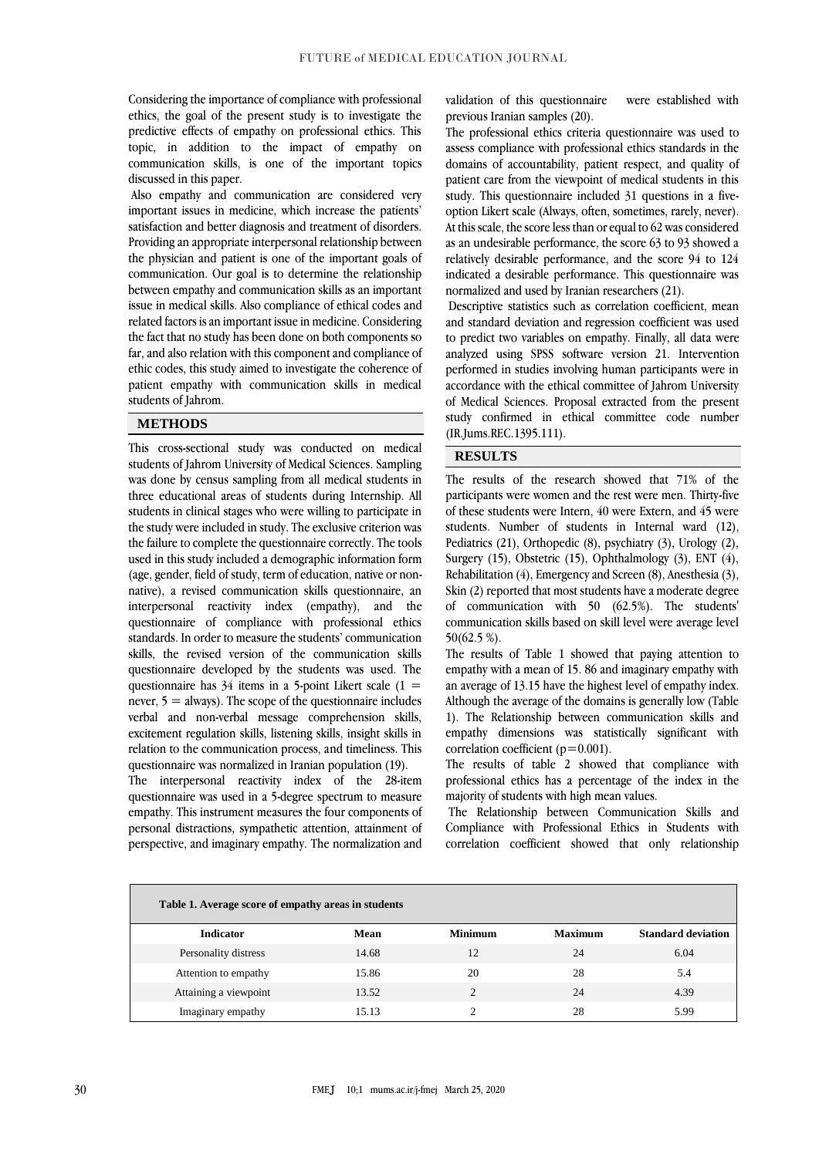Considering the importance of compliance with professional ethics, the goal of the present study is to investigate the predictive effects of empathy on professional ethics. This topic, in addition to the impact of empathy on communication skills, is one of the important topics discussed in this paper.

Also empathy and communication are considered very important issues in medicine, which increase the patients' satisfaction and better diagnosis and treatment of disorders. Providing an appropriate interpersonal relationship between the physician and patient is one of the important goals of communication. Our goal is to determine the relationship between empathy and communication skills as an important issue in medical skills. Also compliance of ethical codes and related factors is an important issue in medicine. Considering the fact that no study has been done on both components so far, and also relation with this component and compliance of ethic codes, this study aimed to investigate the coherence of patient empathy with communication skills in medical students of Jahrom.

## **METHODS**

This cross-sectional study was conducted on medical students of Jahrom University of Medical Sciences. Sampling was done by census sampling from all medical students in three educational areas of students during Internship. All students in clinical stages who were willing to participate in the study were included in study. The exclusive criterion was the failure to complete the questionnaire correctly. The tools used in this study included a demographic information form (age, gender, field of study, term of education, native or nonnative), a revised communication skills questionnaire, an interpersonal reactivity index (empathy), and the questionnaire of compliance with professional ethics standards. In order to measure the students' communication skills, the revised version of the communication skills questionnaire developed by the students was used. The questionnaire has  $34$  items in a 5-point Likert scale (1 = never,  $5 =$  always). The scope of the questionnaire includes verbal and non-verbal message comprehension skills, excitement regulation skills, listening skills, insight skills in relation to the communication process, and timeliness. This questionnaire was normalized in Iranian population (19).

The interpersonal reactivity index of the 28-item questionnaire was used in a 5-degree spectrum to measure empathy. This instrument measures the four components of personal distractions, sympathetic attention, attainment of perspective, and imaginary empathy. The normalization and validation of this questionnaire were established with previous Iranian samples (20).

The professional ethics criteria questionnaire was used to assess compliance with professional ethics standards in the domains of accountability, patient respect, and quality of patient care from the viewpoint of medical students in this study. This questionnaire included 31 questions in a fiveoption Likert scale (Always, often, sometimes, rarely, never). At this scale, the score less than or equal to 62 was considered as an undesirable performance, the score 63 to 93 showed a relatively desirable performance, and the score 94 to 124 indicated a desirable performance. This questionnaire was normalized and used by Iranian researchers (21).

Descriptive statistics such as correlation coefficient, mean and standard deviation and regression coefficient was used to predict two variables on empathy. Finally, all data were analyzed using SPSS software version 21. Intervention performed in studies involving human participants were in accordance with the ethical committee of Jahrom University of Medical Sciences. Proposal extracted from the present study confirmed in ethical committee code number (IR.Jums.REC.1395.111).

## **RESULTS**

The results of the research showed that 71% of the participants were women and the rest were men. Thirty-five of these students were Intern, 40 were Extern, and 45 were students. Number of students in Internal ward (12), Pediatrics (21), Orthopedic (8), psychiatry (3), Urology (2), Surgery (15), Obstetric (15), Ophthalmology (3), ENT (4), Rehabilitation (4), Emergency and Screen (8), Anesthesia (3), Skin (2) reported that most students have a moderate degree of communication with 50 (62.5%). The students' communication skills based on skill level were average level 50(62.5 %).

The results of Table 1 showed that paying attention to empathy with a mean of 15. 86 and imaginary empathy with an average of 13.15 have the highest level of empathy index. Although the average of the domains is generally low (Table 1). The Relationship between communication skills and empathy dimensions was statistically significant with correlation coefficient ( $p=0.001$ ).

The results of table 2 showed that compliance with professional ethics has a percentage of the index in the majority of students with high mean values.

The Relationship between Communication Skills and Compliance with Professional Ethics in Students with correlation coefficient showed that only relationship

| Table 1. Average score of empathy areas in students |       |                |                |                           |  |  |  |
|-----------------------------------------------------|-------|----------------|----------------|---------------------------|--|--|--|
| <b>Indicator</b>                                    | Mean  | <b>Minimum</b> | <b>Maximum</b> | <b>Standard deviation</b> |  |  |  |
| Personality distress                                | 14.68 | 12             | 24             | 6.04                      |  |  |  |
| Attention to empathy                                | 15.86 | 20             | 28             | 5.4                       |  |  |  |
| Attaining a viewpoint                               | 13.52 | ∍              | 24             | 4.39                      |  |  |  |
| Imaginary empathy                                   | 15.13 |                | 28             | 5.99                      |  |  |  |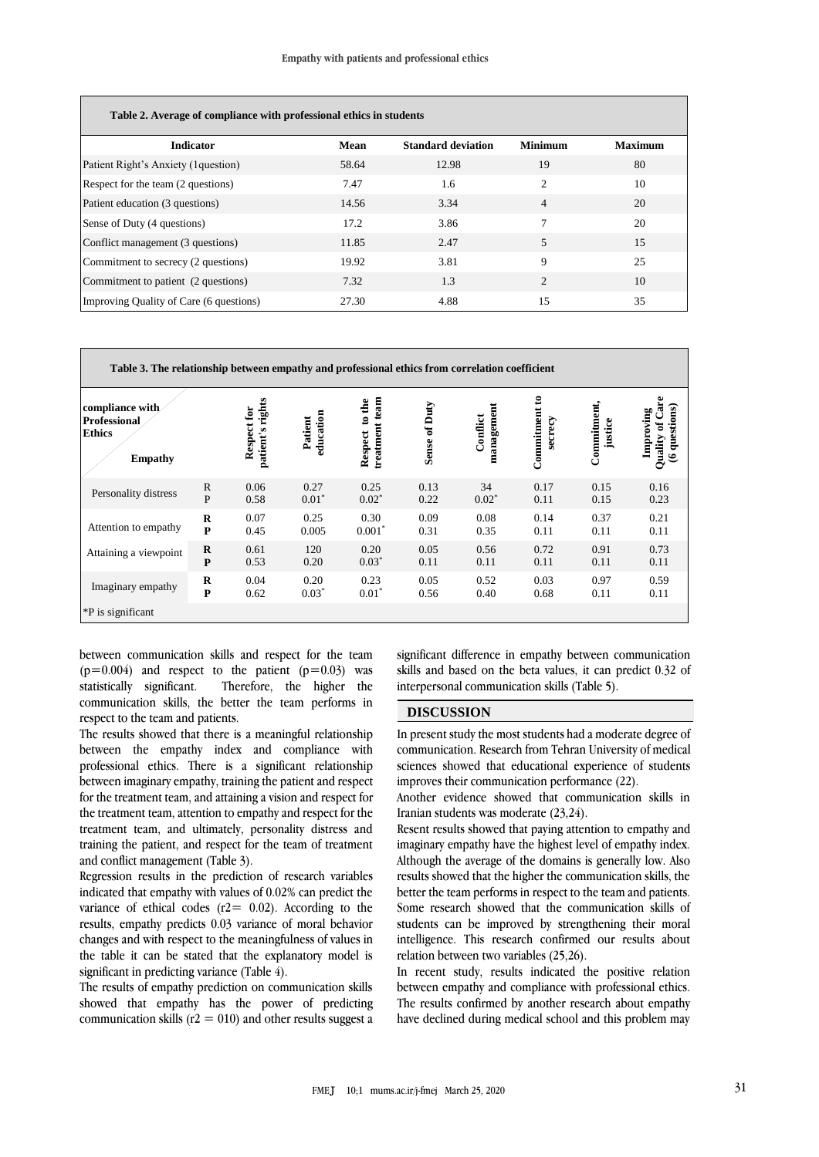| Table 2. Average of compliance with professional ethics in students |       |                           |                             |                |
|---------------------------------------------------------------------|-------|---------------------------|-----------------------------|----------------|
| <b>Indicator</b>                                                    | Mean  | <b>Standard deviation</b> | <b>Minimum</b>              | <b>Maximum</b> |
| Patient Right's Anxiety (1 question)                                | 58.64 | 12.98                     | 19                          | 80             |
| Respect for the team (2 questions)                                  | 7.47  | 1.6                       | $\overline{c}$              | 10             |
| Patient education (3 questions)                                     | 14.56 | 3.34                      | $\overline{4}$              | 20             |
| Sense of Duty (4 questions)                                         | 17.2  | 3.86                      |                             | 20             |
| Conflict management (3 questions)                                   | 11.85 | 2.47                      | 5                           | 15             |
| Commitment to secrecy (2 questions)                                 | 19.92 | 3.81                      | 9                           | 25             |
| Commitment to patient (2 questions)                                 | 7.32  | 1.3                       | $\mathcal{D}_{\mathcal{A}}$ | 10             |
| Improving Quality of Care (6 questions)                             | 27.30 | 4.88                      | 15                          | 35             |

**Table 3. The relationship between empathy and professional ethics from correlation coefficient**

| compliance with<br><b>Professional</b><br><b>Ethics</b><br><b>Empathy</b> |              | rights<br>Respect for<br>patient's | education<br>Patient | team<br>dhe<br>$\mathbf{c}$<br>treatment<br>Respect | of Duty<br>Sense | management<br>Conflict | Commitment to<br>secrecy | Commitment,<br>justice | Care<br>questions)<br>Improving<br>$\tilde{\mathbf{a}}$<br>Quality<br>ی |
|---------------------------------------------------------------------------|--------------|------------------------------------|----------------------|-----------------------------------------------------|------------------|------------------------|--------------------------|------------------------|-------------------------------------------------------------------------|
| Personality distress                                                      | $\mathbb{R}$ | 0.06                               | 0.27                 | 0.25                                                | 0.13             | 34                     | 0.17                     | 0.15                   | 0.16                                                                    |
|                                                                           | P            | 0.58                               | $0.01*$              | $0.02^*$                                            | 0.22             | $0.02^*$               | 0.11                     | 0.15                   | 0.23                                                                    |
| Attention to empathy                                                      | $\bf{R}$     | 0.07                               | 0.25                 | 0.30                                                | 0.09             | 0.08                   | 0.14                     | 0.37                   | 0.21                                                                    |
|                                                                           | P            | 0.45                               | 0.005                | $0.001*$                                            | 0.31             | 0.35                   | 0.11                     | 0.11                   | 0.11                                                                    |
| Attaining a viewpoint                                                     | R            | 0.61                               | 120                  | 0.20                                                | 0.05             | 0.56                   | 0.72                     | 0.91                   | 0.73                                                                    |
|                                                                           | $\mathbf{P}$ | 0.53                               | 0.20                 | $0.03*$                                             | 0.11             | 0.11                   | 0.11                     | 0.11                   | 0.11                                                                    |
| Imaginary empathy                                                         | $\bf{R}$     | 0.04                               | 0.20                 | 0.23                                                | 0.05             | 0.52                   | 0.03                     | 0.97                   | 0.59                                                                    |
|                                                                           | $\mathbf{P}$ | 0.62                               | $0.03*$              | $0.01*$                                             | 0.56             | 0.40                   | 0.68                     | 0.11                   | 0.11                                                                    |
| *P is significant                                                         |              |                                    |                      |                                                     |                  |                        |                          |                        |                                                                         |

between communication skills and respect for the team  $(p=0.004)$  and respect to the patient  $(p=0.03)$  was statistically significant. Therefore, the higher the communication skills, the better the team performs in respect to the team and patients.

The results showed that there is a meaningful relationship between the empathy index and compliance with professional ethics. There is a significant relationship between imaginary empathy, training the patient and respect for the treatment team, and attaining a vision and respect for the treatment team, attention to empathy and respect for the treatment team, and ultimately, personality distress and training the patient, and respect for the team of treatment and conflict management (Table 3).

Regression results in the prediction of research variables indicated that empathy with values of 0.02% can predict the variance of ethical codes ( $r2 = 0.02$ ). According to the results, empathy predicts 0.03 variance of moral behavior changes and with respect to the meaningfulness of values in the table it can be stated that the explanatory model is significant in predicting variance (Table 4).

The results of empathy prediction on communication skills showed that empathy has the power of predicting communication skills ( $r2 = 010$ ) and other results suggest a significant difference in empathy between communication skills and based on the beta values, it can predict 0.32 of interpersonal communication skills (Table 5).

#### **DISCUSSION**

In present study the most students had a moderate degree of communication. Research from Tehran University of medical sciences showed that educational experience of students improves their communication performance (22).

Another evidence showed that communication skills in Iranian students was moderate (23,24).

Resent results showed that paying attention to empathy and imaginary empathy have the highest level of empathy index. Although the average of the domains is generally low. Also results showed that the higher the communication skills, the better the team performs in respect to the team and patients. Some research showed that the communication skills of students can be improved by strengthening their moral intelligence. This research confirmed our results about relation between two variables (25,26).

In recent study, results indicated the positive relation between empathy and compliance with professional ethics. The results confirmed by another research about empathy have declined during medical school and this problem may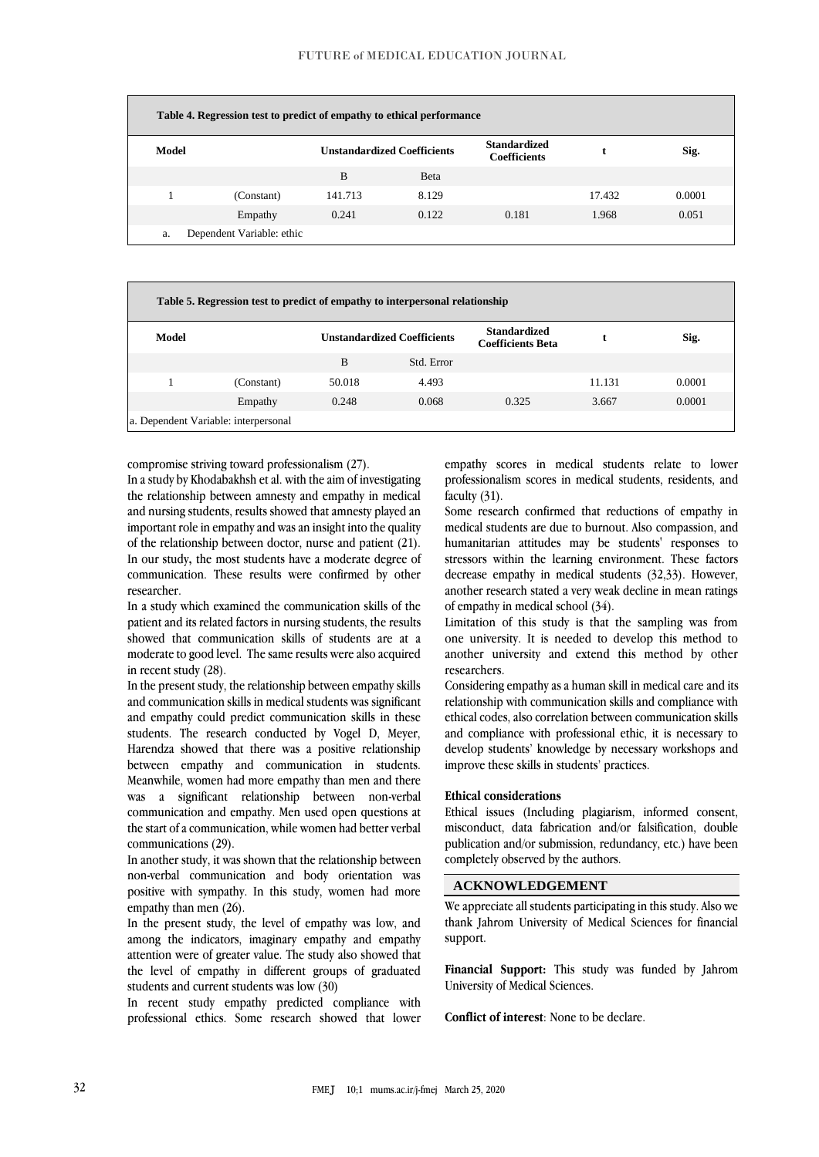| Table 4. Regression test to predict of empathy to ethical performance |                           |                                    |              |                                            |        |        |  |  |
|-----------------------------------------------------------------------|---------------------------|------------------------------------|--------------|--------------------------------------------|--------|--------|--|--|
| Model                                                                 |                           | <b>Unstandardized Coefficients</b> |              | <b>Standardized</b><br><b>Coefficients</b> |        | Sig.   |  |  |
|                                                                       |                           | B                                  | <b>B</b> eta |                                            |        |        |  |  |
|                                                                       | (Constant)                | 141.713                            | 8.129        |                                            | 17.432 | 0.0001 |  |  |
|                                                                       | Empathy                   | 0.241                              | 0.122        | 0.181                                      | 1.968  | 0.051  |  |  |
| a.                                                                    | Dependent Variable: ethic |                                    |              |                                            |        |        |  |  |

| Table 5. Regression test to predict of empathy to interpersonal relationship |            |        |                                    |                                                 |        |        |  |  |
|------------------------------------------------------------------------------|------------|--------|------------------------------------|-------------------------------------------------|--------|--------|--|--|
| Model                                                                        |            |        | <b>Unstandardized Coefficients</b> | <b>Standardized</b><br><b>Coefficients Beta</b> |        | Sig.   |  |  |
|                                                                              |            | B      | Std. Error                         |                                                 |        |        |  |  |
|                                                                              | (Constant) | 50.018 | 4.493                              |                                                 | 11.131 | 0.0001 |  |  |
|                                                                              | Empathy    | 0.248  | 0.068                              | 0.325                                           | 3.667  | 0.0001 |  |  |
| a. Dependent Variable: interpersonal                                         |            |        |                                    |                                                 |        |        |  |  |

compromise striving toward professionalism (27).

In a study by Khodabakhsh et al. with the aim of investigating the relationship between amnesty and empathy in medical and nursing students, results showed that amnesty played an important role in empathy and was an insight into the quality of the relationship between doctor, nurse and patient (21). In our study**,** the most students have a moderate degree of communication. These results were confirmed by other researcher.

In a study which examined the communication skills of the patient and its related factors in nursing students, the results showed that communication skills of students are at a moderate to good level. The same results were also acquired in recent study (28).

In the present study, the relationship between empathy skills and communication skills in medical students was significant and empathy could predict communication skills in these students. The research conducted by Vogel D, Meyer, Harendza showed that there was a positive relationship between empathy and communication in students. Meanwhile, women had more empathy than men and there was a significant relationship between non-verbal communication and empathy. Men used open questions at the start of a communication, while women had better verbal communications (29).

In another study, it was shown that the relationship between non-verbal communication and body orientation was positive with sympathy. In this study, women had more empathy than men (26).

In the present study, the level of empathy was low, and among the indicators, imaginary empathy and empathy attention were of greater value. The study also showed that the level of empathy in different groups of graduated students and current students was low (30)

In recent study empathy predicted compliance with professional ethics. Some research showed that lower empathy scores in medical students relate to lower professionalism scores in medical students, residents, and faculty (31).

Some research confirmed that reductions of empathy in medical students are due to burnout. Also compassion, and humanitarian attitudes may be students' responses to stressors within the learning environment. These factors decrease empathy in medical students (32,33). However, another research stated a very weak decline in mean ratings of empathy in medical school (34).

Limitation of this study is that the sampling was from one university. It is needed to develop this method to another university and extend this method by other researchers.

Considering empathy as a human skill in medical care and its relationship with communication skills and compliance with ethical codes, also correlation between communication skills and compliance with professional ethic, it is necessary to develop students' knowledge by necessary workshops and improve these skills in students' practices.

### **Ethical considerations**

Ethical issues (Including plagiarism, informed consent, misconduct, data fabrication and/or falsification, double publication and/or submission, redundancy, etc.) have been completely observed by the authors.

## **ACKNOWLEDGEMENT**

We appreciate all students participating in this study. Also we thank Jahrom University of Medical Sciences for financial support.

**Financial Support:** This study was funded by Jahrom University of Medical Sciences.

**Conflict of interest**: None to be declare.